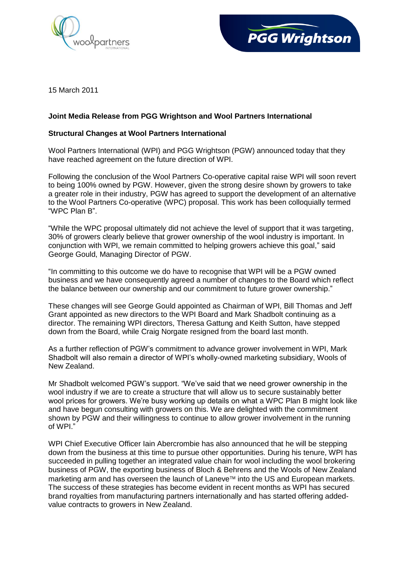



15 March 2011

## **Joint Media Release from PGG Wrightson and Wool Partners International**

## **Structural Changes at Wool Partners International**

Wool Partners International (WPI) and PGG Wrightson (PGW) announced today that they have reached agreement on the future direction of WPI.

Following the conclusion of the Wool Partners Co-operative capital raise WPI will soon revert to being 100% owned by PGW. However, given the strong desire shown by growers to take a greater role in their industry, PGW has agreed to support the development of an alternative to the Wool Partners Co-operative (WPC) proposal. This work has been colloquially termed "WPC Plan B".

"While the WPC proposal ultimately did not achieve the level of support that it was targeting, 30% of growers clearly believe that grower ownership of the wool industry is important. In conjunction with WPI, we remain committed to helping growers achieve this goal," said George Gould, Managing Director of PGW.

"In committing to this outcome we do have to recognise that WPI will be a PGW owned business and we have consequently agreed a number of changes to the Board which reflect the balance between our ownership and our commitment to future grower ownership."

These changes will see George Gould appointed as Chairman of WPI, Bill Thomas and Jeff Grant appointed as new directors to the WPI Board and Mark Shadbolt continuing as a director. The remaining WPI directors, Theresa Gattung and Keith Sutton, have stepped down from the Board, while Craig Norgate resigned from the board last month.

As a further reflection of PGW's commitment to advance grower involvement in WPI, Mark Shadbolt will also remain a director of WPI's wholly-owned marketing subsidiary, Wools of New Zealand.

Mr Shadbolt welcomed PGW's support. "We've said that we need grower ownership in the wool industry if we are to create a structure that will allow us to secure sustainably better wool prices for growers. We're busy working up details on what a WPC Plan B might look like and have begun consulting with growers on this. We are delighted with the commitment shown by PGW and their willingness to continue to allow grower involvement in the running of WPI."

WPI Chief Executive Officer Iain Abercrombie has also announced that he will be stepping down from the business at this time to pursue other opportunities. During his tenure, WPI has succeeded in pulling together an integrated value chain for wool including the wool brokering business of PGW, the exporting business of Bloch & Behrens and the Wools of New Zealand marketing arm and has overseen the launch of Laneve™ into the US and European markets. The success of these strategies has become evident in recent months as WPI has secured brand royalties from manufacturing partners internationally and has started offering addedvalue contracts to growers in New Zealand.